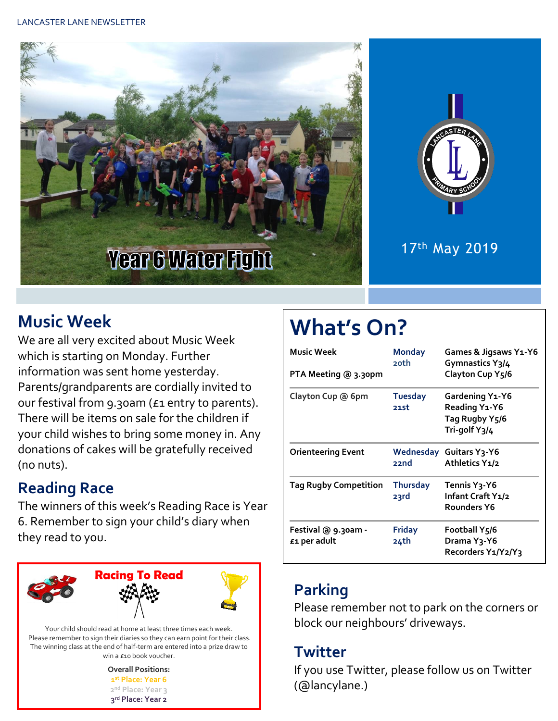



## 17th May 2019

# **Music Week**

We are all very excited about Music Week which is starting on Monday. Further information was sent home yesterday. Parents/grandparents are cordially invited to our festival from 9.30am (£1 entry to parents). There will be items on sale for the children if your child wishes to bring some money in. Any donations of cakes will be gratefully received (no nuts).

# **Reading Race**

The winners of this week's Reading Race is Year 6. Remember to sign your child's diary when they read to you.



The winning class at the end of half-term are entered into a prize draw to win a £10 book voucher.

| <b>Overall Positions:</b>     |  |  |  |  |  |
|-------------------------------|--|--|--|--|--|
| 1st Place: Year 6             |  |  |  |  |  |
| 2 <sup>nd</sup> Place: Year 3 |  |  |  |  |  |
| 3rd Place: Year 2             |  |  |  |  |  |

# **What's On?**

| Music Week<br>PTA Meeting @ 3.30pm  | <b>Monday</b><br>20th   | Games & Jigsaws Y1-Y6<br>Gymnastics $Y_3/4$<br>Clayton Cup Y5/6     |  |  |
|-------------------------------------|-------------------------|---------------------------------------------------------------------|--|--|
| Clayton Cup @ 6pm                   | <b>Tuesday</b><br>21st  | Gardening Y1-Y6<br>Reading Y1-Y6<br>Tag Rugby Y5/6<br>Tri-golf Y3/4 |  |  |
| <b>Orienteering Event</b>           | 22nd                    | <b>Wednesday Guitars Y3-Y6</b><br>Athletics Y1/2                    |  |  |
| <b>Tag Rugby Competition</b>        | <b>Thursday</b><br>23rd | Tennis Y3-Y6<br>Infant Craft Y1/2<br>Rounders Y6                    |  |  |
| Festival @ 9.30am -<br>£1 per adult | <b>Friday</b><br>24th   | Football Y5/6<br>Drama Y <sub>3</sub> -Y6<br>Recorders Y1/Y2/Y3     |  |  |

# **Parking**

Please remember not to park on the corners or block our neighbours' driveways.

## **Twitter**

If you use Twitter, please follow us on Twitter (@lancylane.)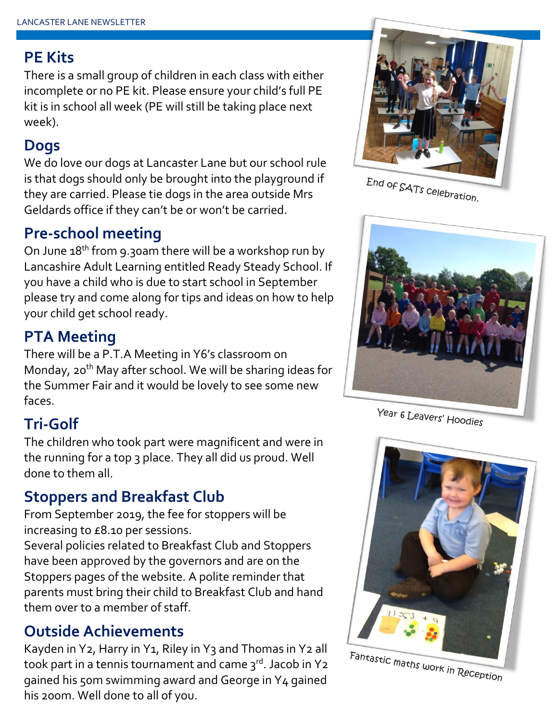#### **PE Kits**

There is a small group of children in each class with either incomplete or no PE kit. Please ensure your child's full PE kit is in school all week (PE will still be taking place next week).

## **Dogs**

We do love our dogs at Lancaster Lane but our school rule is that dogs should only be brought into the playground if they are carried. Please tie dogs in the area outside Mrs Geldards office if they can't be or won't be carried.

# **Pre-school meeting**

On June  $18<sup>th</sup>$  from 9.30am there will be a workshop run by Lancashire Adult Learning entitled Ready Steady School. If you have a child who is due to start school in September please try and come along for tips and ideas on how to help your child get school ready.

# **PTA Meeting**

There will be a P.T.A Meeting in Y6's classroom on Monday, 20<sup>th</sup> May after school. We will be sharing ideas for the Summer Fair and it would be lovely to see some new faces.

# **Tri-Golf**

The children who took part were magnificent and were in the running for a top 3 place. They all did us proud. Well done to them all.

## **Stoppers and Breakfast Club**

From September 2019, the fee for stoppers will be increasing to £8.10 per sessions.

Several policies related to Breakfast Club and Stoppers have been approved by the governors and are on the Stoppers pages of the website. A polite reminder that parents must bring their child to Breakfast Club and hand them over to a member of staff.

## **Outside Achievements**

Kayden in Y2, Harry in Y1, Riley in Y3 and Thomas in Y2 all took part in a tennis tournament and came  $3<sup>rd</sup>$ . Jacob in Y2 gained his 50m swimming award and George in Y4 gained his 200m. Well done to all of you.



End of SATs celebration.



Year 6 Leavers' Hoodies



Fantastic maths work in Reception